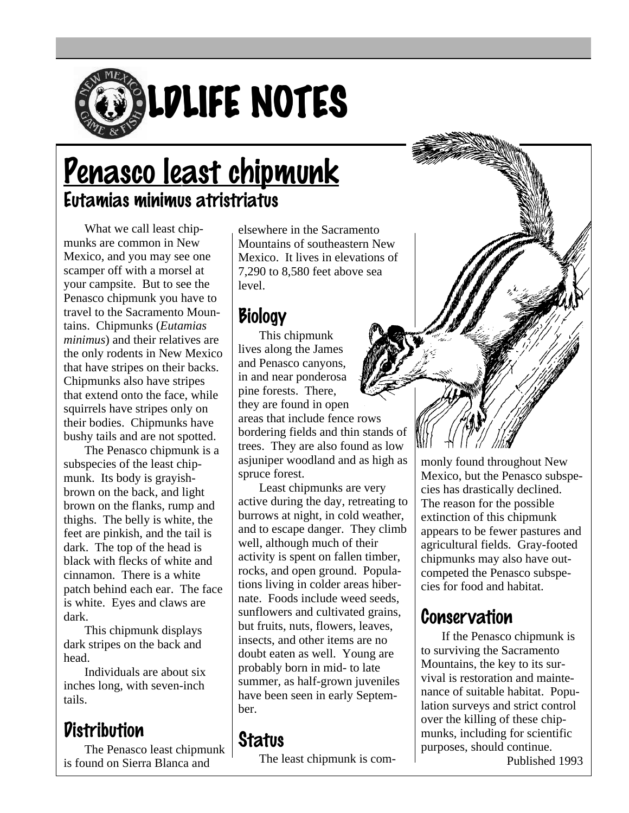

# <u>Penasco least chipmunk</u> Eutamias minimus atristriatus

What we call least chipmunks are common in New Mexico, and you may see one scamper off with a morsel at your campsite. But to see the Penasco chipmunk you have to travel to the Sacramento Mountains. Chipmunks (*Eutamias minimus*) and their relatives are the only rodents in New Mexico that have stripes on their backs. Chipmunks also have stripes that extend onto the face, while squirrels have stripes only on their bodies. Chipmunks have bushy tails and are not spotted.

The Penasco chipmunk is a subspecies of the least chipmunk. Its body is grayishbrown on the back, and light brown on the flanks, rump and thighs. The belly is white, the feet are pinkish, and the tail is dark. The top of the head is black with flecks of white and cinnamon. There is a white patch behind each ear. The face is white. Eyes and claws are dark.

This chipmunk displays dark stripes on the back and head.

Individuals are about six inches long, with seven-inch tails.

#### **Distribution**

The Penasco least chipmunk is found on Sierra Blanca and

elsewhere in the Sacramento Mountains of southeastern New Mexico. It lives in elevations of 7,290 to 8,580 feet above sea level.

### **Biology**

This chipmunk lives along the James and Penasco canyons, in and near ponderosa pine forests. There, they are found in open areas that include fence rows bordering fields and thin stands of trees. They are also found as low asjuniper woodland and as high as spruce forest.

Least chipmunks are very active during the day, retreating to burrows at night, in cold weather, and to escape danger. They climb well, although much of their activity is spent on fallen timber, rocks, and open ground. Populations living in colder areas hibernate. Foods include weed seeds, sunflowers and cultivated grains, but fruits, nuts, flowers, leaves, insects, and other items are no doubt eaten as well. Young are probably born in mid- to late summer, as half-grown juveniles have been seen in early September.

#### **Status**

The least chipmunk is com-



appears to be fewer pastures and agricultural fields. Gray-footed chipmunks may also have outcompeted the Penasco subspecies for food and habitat.

## Conservation

If the Penasco chipmunk is to surviving the Sacramento Mountains, the key to its survival is restoration and maintenance of suitable habitat. Population surveys and strict control over the killing of these chipmunks, including for scientific purposes, should continue. Published 1993